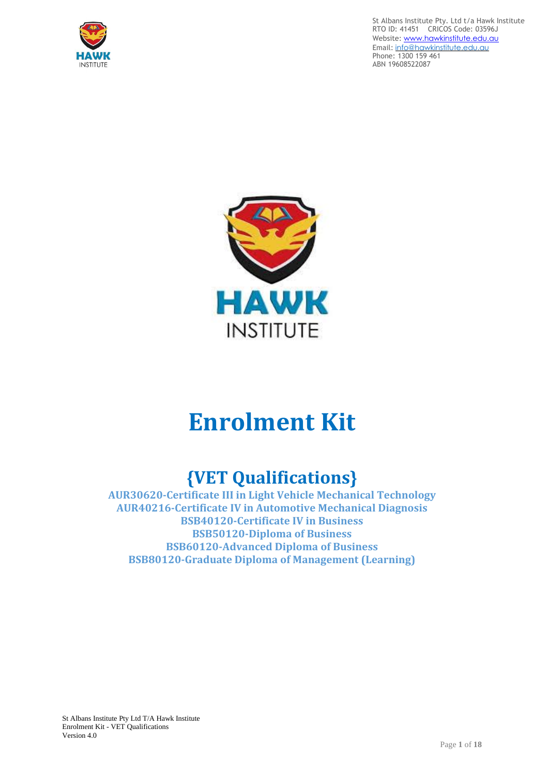





# **Enrolment Kit**

# **{VET Qualifications}**

**AUR30620-Certificate III in Light Vehicle Mechanical Technology AUR40216-Certificate IV in Automotive Mechanical Diagnosis BSB40120-Certificate IV in Business BSB50120-Diploma of Business BSB60120-Advanced Diploma of Business BSB80120-Graduate Diploma of Management (Learning)**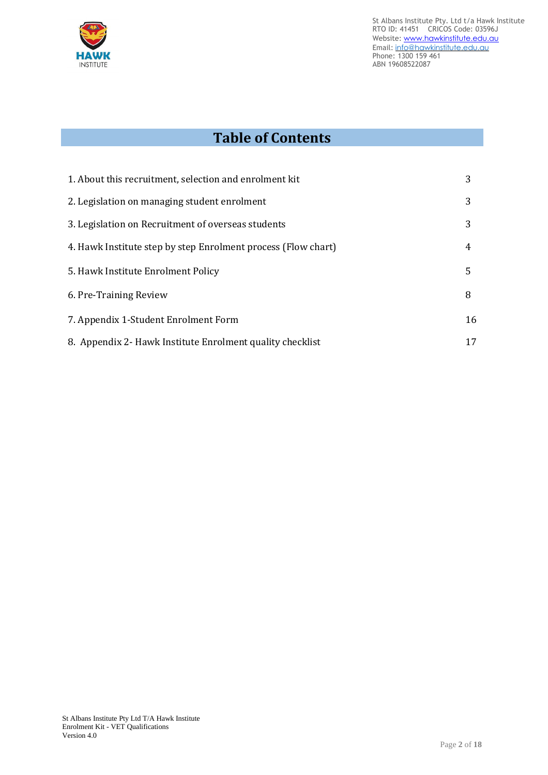

# **Table of Contents**

| 1. About this recruitment, selection and enrolment kit        | 3  |
|---------------------------------------------------------------|----|
| 2. Legislation on managing student enrolment                  | 3  |
| 3. Legislation on Recruitment of overseas students            | 3  |
| 4. Hawk Institute step by step Enrolment process (Flow chart) | 4  |
| 5. Hawk Institute Enrolment Policy                            | 5  |
| 6. Pre-Training Review                                        | 8  |
| 7. Appendix 1-Student Enrolment Form                          | 16 |
| 8. Appendix 2- Hawk Institute Enrolment quality checklist     | 17 |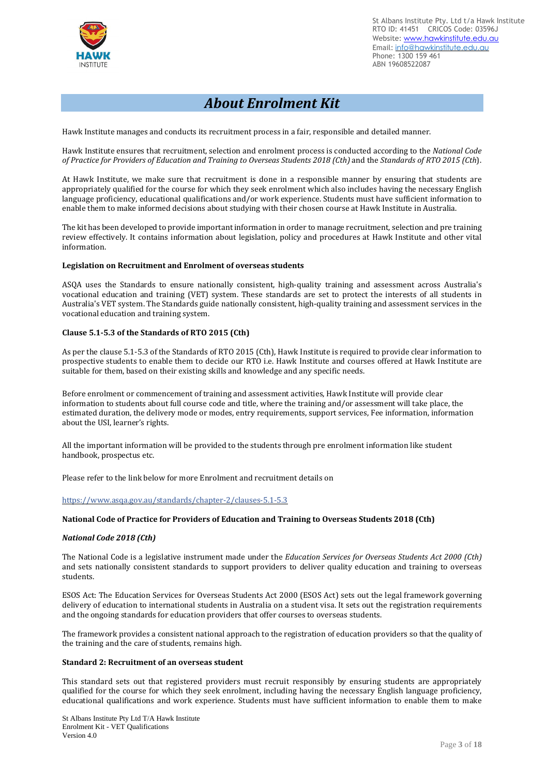

# *About Enrolment Kit*

Hawk Institute manages and conducts its recruitment process in a fair, responsible and detailed manner.

Hawk Institute ensures that recruitment, selection and enrolment process is conducted according to the *National Code* of Practice for Providers of Education and Training to Overseas Students 2018 (Cth) and the Standards of RTO 2015 (Cth).

At Hawk Institute, we make sure that recruitment is done in a responsible manner by ensuring that students are appropriately qualified for the course for which they seek enrolment which also includes having the necessary English language proficiency, educational qualifications and/or work experience. Students must have sufficient information to enable them to make informed decisions about studying with their chosen course at Hawk Institute in Australia.

The kit has been developed to provide important information in order to manage recruitment, selection and pre training review effectively. It contains information about legislation, policy and procedures at Hawk Institute and other vital information.

#### **Legislation on Recruitment and Enrolment of overseas students**

ASQA uses the Standards to ensure nationally consistent, high-quality training and assessment across Australia's vocational education and training (VET) system. These standards are set to protect the interests of all students in Australia's VET system. The Standards guide nationally consistent, high-quality training and assessment services in the vocational education and training system.

#### **Clause 5.1-5.3 of the Standards of RTO 2015 (Cth)**

As per the clause 5.1-5.3 of the Standards of RTO 2015 (Cth), Hawk Institute is required to provide clear information to prospective students to enable them to decide our RTO i.e. Hawk Institute and courses offered at Hawk Institute are suitable for them, based on their existing skills and knowledge and any specific needs.

Before enrolment or commencement of training and assessment activities, Hawk Institute will provide clear information to students about full course code and title, where the training and/or assessment will take place, the estimated duration, the delivery mode or modes, entry requirements, support services, Fee information, information about the USI, learner's rights.

All the important information will be provided to the students through pre enrolment information like student handbook, prospectus etc.

Please refer to the link below for more Enrolment and recruitment details on

#### https://www.asqa.gov.au/standards/chapter-2/clauses-5.1-5.3

#### **National Code of Practice for Providers of Education and Training to Overseas Students 2018 (Cth)**

#### *National Code 2018 (Cth)*

The National Code is a legislative instrument made under the *Education Services for Overseas Students Act 2000 (Cth)* and sets nationally consistent standards to support providers to deliver quality education and training to overseas students.

ESOS Act: The Education Services for Overseas Students Act 2000 (ESOS Act) sets out the legal framework governing delivery of education to international students in Australia on a student visa. It sets out the registration requirements and the ongoing standards for education providers that offer courses to overseas students.

The framework provides a consistent national approach to the registration of education providers so that the quality of the training and the care of students, remains high.

#### **Standard 2: Recruitment of an overseas student**

This standard sets out that registered providers must recruit responsibly by ensuring students are appropriately qualified for the course for which they seek enrolment, including having the necessary English language proficiency, educational qualifications and work experience. Students must have sufficient information to enable them to make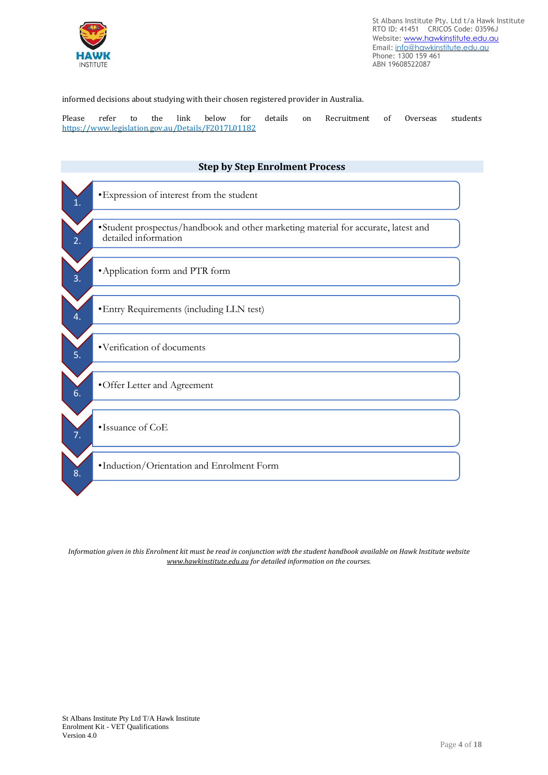

informed decisions about studying with their chosen registered provider in Australia.

Please refer to the link below for details on Recruitment of Overseas students <https://www.legislation.gov.au/Details/F2017L01182>



Information given in this Enrolment kit must be read in conjunction with the student handbook available on Hawk Institute website *[www.hawkinstitute.edu.au](http://www.hawkinstitute.edu.au/) for detailed information on the courses.*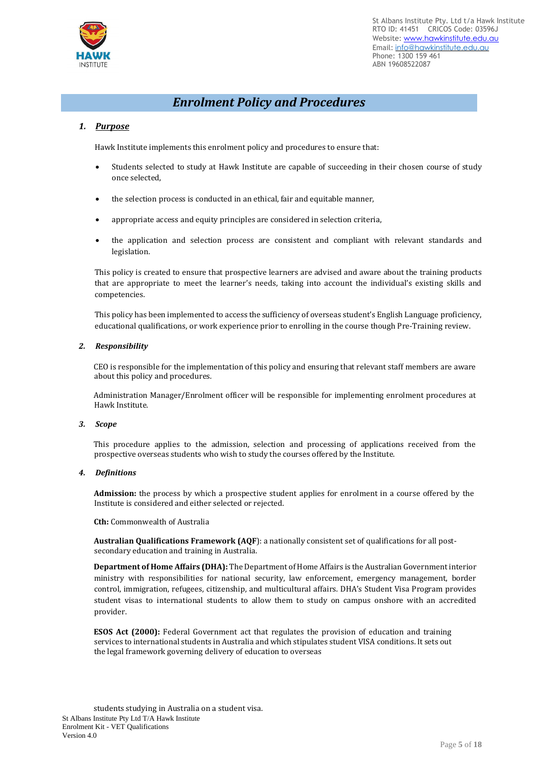

### *Enrolment Policy and Procedures*

#### *1. Purpose*

Hawk Institute implements this enrolment policy and procedures to ensure that:

- Students selected to study at Hawk Institute are capable of succeeding in their chosen course of study once selected,
- the selection process is conducted in an ethical, fair and equitable manner,
- appropriate access and equity principles are considered in selection criteria,
- the application and selection process are consistent and compliant with relevant standards and legislation.

This policy is created to ensure that prospective learners are advised and aware about the training products that are appropriate to meet the learner's needs, taking into account the individual's existing skills and competencies.

This policy has been implemented to access the sufficiency of overseas student's English Language proficiency, educational qualifications, or work experience prior to enrolling in the course though Pre-Training review.

#### *2. Responsibility*

CEO is responsible for the implementation of this policy and ensuring that relevant staff members are aware about this policy and procedures.

Administration Manager/Enrolment officer will be responsible for implementing enrolment procedures at Hawk Institute.

#### *3. Scope*

This procedure applies to the admission, selection and processing of applications received from the prospective overseas students who wish to study the courses offered by the Institute.

#### *4. Definitions*

**Admission:** the process by which a prospective student applies for enrolment in a course offered by the Institute is considered and either selected or rejected.

**Cth:** Commonwealth of Australia

**Australian Qualifications Framework (AQF**): a nationally consistent set of qualifications for all postsecondary education and training in Australia.

**Department of Home Affairs (DHA):** The Department of Home Affairs is the Australian Government interior ministry with responsibilities for national security, law enforcement, emergency management, border control, immigration, refugees, citizenship, and multicultural affairs. DHA's Student Visa Program provides student visas to international students to allow them to study on campus onshore with an accredited provider.

**ESOS Act (2000):** Federal Government act that regulates the provision of education and training services to international students in Australia and which stipulates student VISA conditions. It sets out the legal framework governing delivery of education to overseas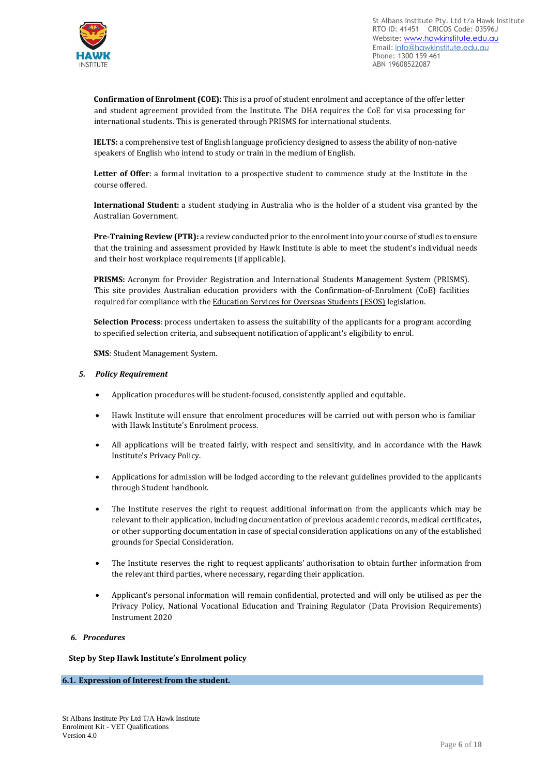

**Confirmation of Enrolment (COE):** This is a proof of student enrolment and acceptance of the offer letter and student agreement provided from the Institute. The DHA requires the CoE for visa processing for international students. This is generated through PRISMS for international students.

**IELTS:** a comprehensive test of English language proficiency designed to assess the ability of non-native speakers of English who intend to study or train in the medium of English.

**Letter of Offer**: a formal invitation to a prospective student to commence study at the Institute in the course offered.

**International Student:** a student studying in Australia who is the holder of a student visa granted by the Australian Government.

**Pre-Training Review (PTR):** a review conducted prior to the enrolment into your course of studies to ensure that the training and assessment provided by Hawk Institute is able to meet the student's individual needs and their host workplace requirements (if applicable).

**PRISMS:** Acronym for Provider Registration and International Students Management System (PRISMS). This site provides Australian education providers with the Confirmation-of-Enrolment (CoE) facilities required for compliance with the Education Services for Overseas Students (ESOS) legislation.

**Selection Process**: process undertaken to assess the suitability of the applicants for a program according to specified selection criteria, and subsequent notification of applicant's eligibility to enrol.

**SMS**: Student Management System.

#### *5. Policy Requirement*

- Application procedures will be student-focused, consistently applied and equitable.
- Hawk Institute will ensure that enrolment procedures will be carried out with person who is familiar with Hawk Institute's Enrolment process.
- All applications will be treated fairly, with respect and sensitivity, and in accordance with the Hawk Institute's Privacy Policy.
- Applications for admission will be lodged according to the relevant guidelines provided to the applicants through Student handbook.
- The Institute reserves the right to request additional information from the applicants which may be relevant to their application, including documentation of previous academic records, medical certificates, or other supporting documentation in case of special consideration applications on any of the established grounds for Special Consideration.
- The Institute reserves the right to request applicants' authorisation to obtain further information from the relevant third parties, where necessary, regarding their application.
- Applicant's personal information will remain confidential, protected and will only be utilised as per the Privacy Policy, National Vocational Education and Training Regulator (Data Provision Requirements) Instrument 2020

#### *6. Procedures*

#### **Step by Step Hawk Institute's Enrolment policy**

#### **6.1. Expression of Interest from the student.**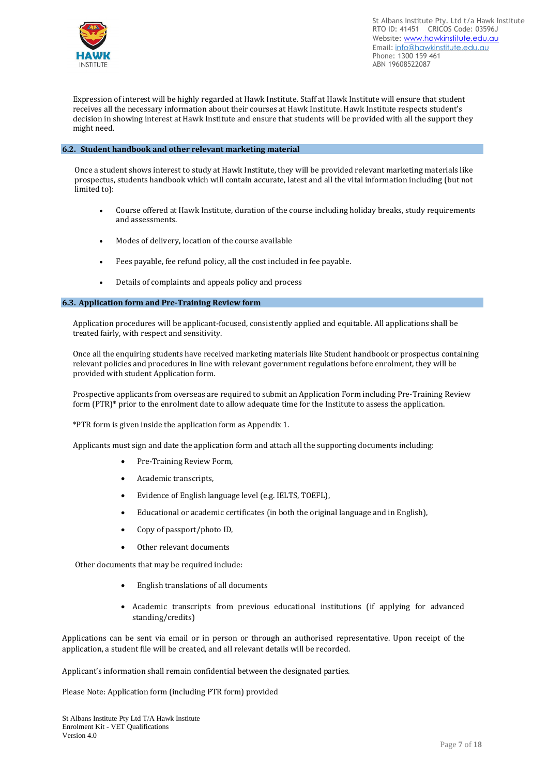

Expression of interest will be highly regarded at Hawk Institute. Staff at Hawk Institute will ensure that student receives all the necessary information about their courses at Hawk Institute. Hawk Institute respects student's decision in showing interest at Hawk Institute and ensure that students will be provided with all the support they might need.

#### **6.2. Student handbook and other relevant marketing material**

Once a student shows interest to study at Hawk Institute, they will be provided relevant marketing materials like prospectus, students handbook which will contain accurate, latest and all the vital information including (but not limited to):

- Course offered at Hawk Institute, duration of the course including holiday breaks, study requirements and assessments.
- Modes of delivery, location of the course available
- Fees payable, fee refund policy, all the cost included in fee payable.
- Details of complaints and appeals policy and process

#### **6.3. Application form and Pre-Training Review form**

Application procedures will be applicant-focused, consistently applied and equitable. All applications shall be treated fairly, with respect and sensitivity.

Once all the enquiring students have received marketing materials like Student handbook or prospectus containing relevant policies and procedures in line with relevant government regulations before enrolment, they will be provided with student Application form.

Prospective applicants from overseas are required to submit an Application Form including Pre-Training Review form (PTR)\* prior to the enrolment date to allow adequate time for the Institute to assess the application.

\*PTR form is given inside the application form as Appendix 1.

Applicants must sign and date the application form and attach all the supporting documents including:

- Pre-Training Review Form,
- Academic transcripts,
- Evidence of English language level (e.g. IELTS, TOEFL),
- Educational or academic certificates (in both the original language and in English),
- Copy of passport/photo ID,
- Other relevant documents

Other documents that may be required include:

- English translations of all documents
- Academic transcripts from previous educational institutions (if applying for advanced standing/credits)

Applications can be sent via email or in person or through an authorised representative. Upon receipt of the application, a student file will be created, and all relevant details will be recorded.

Applicant's information shall remain confidential between the designated parties.

Please Note: Application form (including PTR form) provided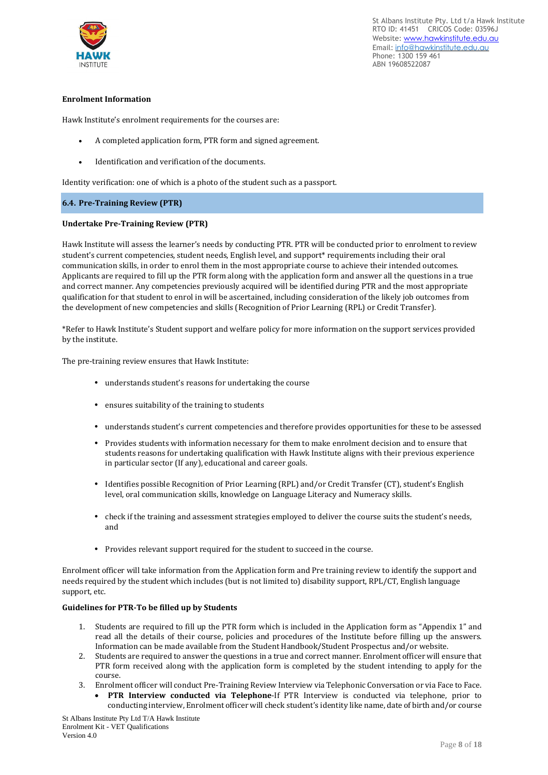

#### **Enrolment Information**

Hawk Institute's enrolment requirements for the courses are:

- A completed application form, PTR form and signed agreement.
- Identification and verification of the documents.

Identity verification: one of which is a photo of the student such as a passport.

#### **6.4. Pre-Training Review (PTR)**

#### **Undertake Pre-Training Review (PTR)**

Hawk Institute will assess the learner's needs by conducting PTR. PTR will be conducted prior to enrolment to review student's current competencies, student needs, English level, and support\* requirements including their oral communication skills, in order to enrol them in the most appropriate course to achieve their intended outcomes. Applicants are required to fill up the PTR form along with the application form and answer all the questions in a true and correct manner. Any competencies previously acquired will be identified during PTR and the most appropriate qualification for that student to enrol in will be ascertained, including consideration of the likely job outcomes from the development of new competencies and skills (Recognition of Prior Learning (RPL) or Credit Transfer).

\*Refer to Hawk Institute's Student support and welfare policy for more information on the support services provided by the institute.

The pre-training review ensures that Hawk Institute:

- understands student's reasons for undertaking the course
- ensures suitability of the training to students
- understands student's current competencies and therefore provides opportunities for these to be assessed
- Provides students with information necessary for them to make enrolment decision and to ensure that students reasons for undertaking qualification with Hawk Institute aligns with their previous experience in particular sector (If any), educational and career goals.
- Identifies possible Recognition of Prior Learning (RPL) and/or Credit Transfer (CT), student's English level, oral communication skills, knowledge on Language Literacy and Numeracy skills.
- check if the training and assessment strategies employed to deliver the course suits the student's needs, and
- Provides relevant support required for the student to succeed in the course.

Enrolment officer will take information from the Application form and Pre training review to identify the support and needs required by the student which includes (but is not limited to) disability support, RPL/CT, English language support, etc.

#### **Guidelines for PTR-To be filled up by Students**

- 1. Students are required to fill up the PTR form which is included in the Application form as "Appendix 1" and read all the details of their course, policies and procedures of the Institute before filling up the answers. Information can be made available from the Student Handbook/Student Prospectus and/or website.
- 2. Students are required to answer the questions in a true and correct manner. Enrolment officer will ensure that PTR form received along with the application form is completed by the student intending to apply for the course.
- 3. Enrolment officer will conduct Pre-Training Review Interview via Telephonic Conversation or via Face to Face.

• **PTR Interview conducted via Telephone**-If PTR Interview is conducted via telephone, prior to conducting interview, Enrolment officer will check student's identity like name, date of birth and/or course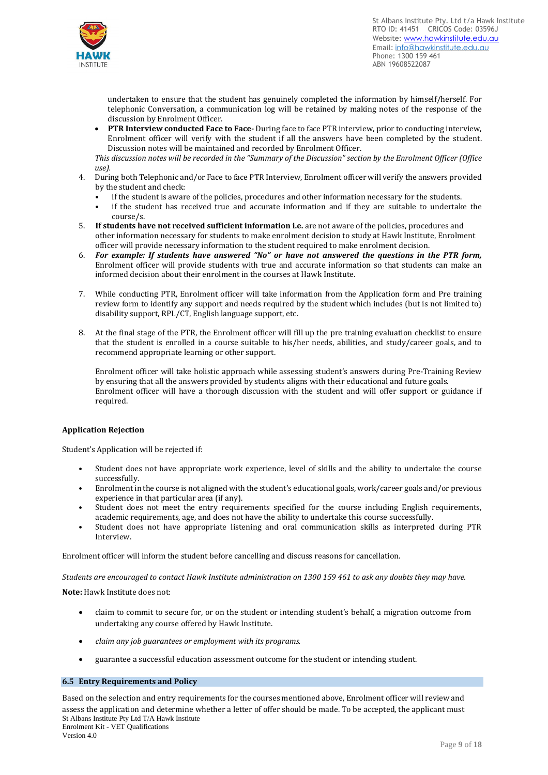

undertaken to ensure that the student has genuinely completed the information by himself/herself. For telephonic Conversation, a communication log will be retained by making notes of the response of the discussion by Enrolment Officer.

• **PTR Interview conducted Face to Face-** During face to face PTR interview, prior to conducting interview, Enrolment officer will verify with the student if all the answers have been completed by the student. Discussion notes will be maintained and recorded by Enrolment Officer.

This discussion notes will be recorded in the "Summary of the Discussion" section by the Enrolment Officer (Office *use).*

- 4. During both Telephonic and/or Face to face PTR Interview, Enrolment officer will verify the answers provided by the student and check:
	- if the student is aware of the policies, procedures and other information necessary for the students.
	- if the student has received true and accurate information and if they are suitable to undertake the course/s.
- 5. **If students have not received sufficient information i.e.** are not aware of the policies, procedures and other information necessary for students to make enrolment decision to study at Hawk Institute, Enrolment officer will provide necessary information to the student required to make enrolment decision.
- 6. *For example: If students have answered "No" or have not answered the questions in the PTR form,* Enrolment officer will provide students with true and accurate information so that students can make an informed decision about their enrolment in the courses at Hawk Institute.
- 7. While conducting PTR, Enrolment officer will take information from the Application form and Pre training review form to identify any support and needs required by the student which includes (but is not limited to) disability support, RPL/CT, English language support, etc.
- 8. At the final stage of the PTR, the Enrolment officer will fill up the pre training evaluation checklist to ensure that the student is enrolled in a course suitable to his/her needs, abilities, and study/career goals, and to recommend appropriate learning or other support.

Enrolment officer will take holistic approach while assessing student's answers during Pre-Training Review by ensuring that all the answers provided by students aligns with their educational and future goals. Enrolment officer will have a thorough discussion with the student and will offer support or guidance if required.

#### **Application Rejection**

Student's Application will be rejected if:

- Student does not have appropriate work experience, level of skills and the ability to undertake the course successfully.
- Enrolment in the course is not aligned with the student's educational goals, work/career goals and/or previous experience in that particular area (if any).
- Student does not meet the entry requirements specified for the course including English requirements, academic requirements, age, and does not have the ability to undertake this course successfully.
- Student does not have appropriate listening and oral communication skills as interpreted during PTR Interview.

Enrolment officer will inform the student before cancelling and discuss reasons for cancellation.

Students are encouraged to contact Hawk Institute administration on 1300 159 461 to ask any doubts they may have.

**Note:** Hawk Institute does not:

- claim to commit to secure for, or on the student or intending student's behalf, a migration outcome from undertaking any course offered by Hawk Institute.
- *claim any job guarantees or employment with its programs.*
- guarantee a successful education assessment outcome for the student or intending student.

#### **6.5 Entry Requirements and Policy**

St Albans Institute Pty Ltd T/A Hawk Institute Enrolment Kit - VET Qualifications Based on the selection and entry requirements for the courses mentioned above, Enrolment officer will review and assess the application and determine whether a letter of offer should be made. To be accepted, the applicant must

Version 4.0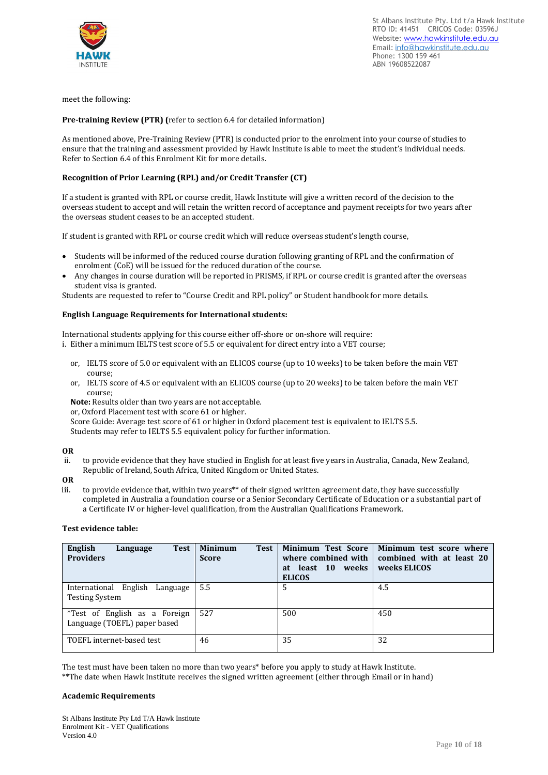

meet the following:

#### **Pre-training Review (PTR) (**refer to section 6.4 for detailed information)

As mentioned above, Pre-Training Review (PTR) is conducted prior to the enrolment into your course of studies to ensure that the training and assessment provided by Hawk Institute is able to meet the student's individual needs. Refer to Section 6.4 of this Enrolment Kit for more details.

#### **Recognition of Prior Learning (RPL) and/or Credit Transfer (CT)**

If a student is granted with RPL or course credit, Hawk Institute will give a written record of the decision to the overseas student to accept and will retain the written record of acceptance and payment receipts for two years after the overseas student ceases to be an accepted student.

If student is granted with RPL or course credit which will reduce overseas student's length course,

- Students will be informed of the reduced course duration following granting of RPL and the confirmation of enrolment (CoE) will be issued for the reduced duration of the course.
- Any changes in course duration will be reported in PRISMS, if RPL or course credit is granted after the overseas student visa is granted.

Students are requested to refer to "Course Credit and RPL policy" or Student handbook for more details.

#### **English Language Requirements for International students:**

International students applying for this course either off-shore or on-shore will require:

- i. Either a minimum IELTS test score of 5.5 or equivalent for direct entry into a VET course;
	- or, IELTS score of 5.0 or equivalent with an ELICOS course (up to 10 weeks) to be taken before the main VET course;
	- or, IELTS score of 4.5 or equivalent with an ELICOS course (up to 20 weeks) to be taken before the main VET course;

**Note:** Results older than two years are not acceptable.

or, Oxford Placement test with score 61 or higher.

Score Guide: Average test score of 61 or higher in Oxford placement test is equivalent to IELTS 5.5. Students may refer to IELTS 5.5 equivalent policy for further information.

**OR**

to provide evidence that they have studied in English for at least five years in Australia, Canada, New Zealand, Republic of Ireland, South Africa, United Kingdom or United States.

**OR**

iii. to provide evidence that, within two years\*\* of their signed written agreement date, they have successfully completed in Australia a foundation course or a Senior Secondary Certificate of Education or a substantial part of a Certificate IV or higher-level qualification, from the Australian Qualifications Framework.

#### **Test evidence table:**

| English<br><b>Test</b><br>Language<br><b>Providers</b>        | <b>Minimum</b><br><b>Test</b><br><b>Score</b> | <b>Minimum Test Score</b><br>where combined with<br>at least 10 weeks<br><b>ELICOS</b> | Minimum test score where<br>combined with at least 20<br>weeks ELICOS |
|---------------------------------------------------------------|-----------------------------------------------|----------------------------------------------------------------------------------------|-----------------------------------------------------------------------|
| International English<br>Language<br><b>Testing System</b>    | 5.5                                           | .5                                                                                     | 4.5                                                                   |
| *Test of English as a Foreign<br>Language (TOEFL) paper based | 527                                           | 500                                                                                    | 450                                                                   |
| TOEFL internet-based test                                     | 46                                            | 35                                                                                     | 32                                                                    |

The test must have been taken no more than two years\* before you apply to study at Hawk Institute. \*\*The date when Hawk Institute receives the signed written agreement (either through Email or in hand)

#### **Academic Requirements**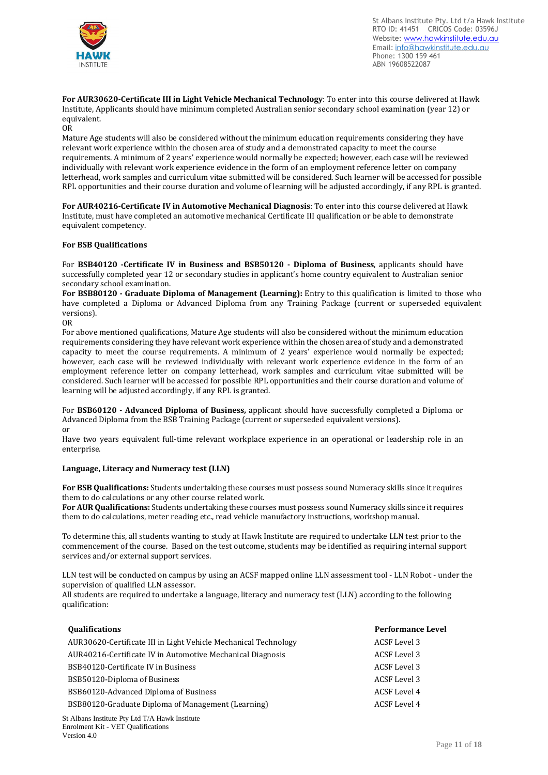

**For AUR30620-Certificate III in Light Vehicle Mechanical Technology**: To enter into this course delivered at Hawk Institute, Applicants should have minimum completed Australian senior secondary school examination (year 12) or equivalent.

OR

Mature Age students will also be considered without the minimum education requirements considering they have relevant work experience within the chosen area of study and a demonstrated capacity to meet the course requirements. A minimum of 2 years' experience would normally be expected; however, each case will be reviewed individually with relevant work experience evidence in the form of an employment reference letter on company letterhead, work samples and curriculum vitae submitted will be considered. Such learner will be accessed for possible RPL opportunities and their course duration and volume of learning will be adjusted accordingly, if any RPL is granted.

**For AUR40216-Certificate IV in Automotive Mechanical Diagnosis**: To enter into this course delivered at Hawk Institute, must have completed an automotive mechanical Certificate III qualification or be able to demonstrate equivalent competency.

#### **For BSB Qualifications**

For **BSB40120 -Certificate IV in Business and BSB50120 - Diploma of Business**, applicants should have successfully completed year 12 or secondary studies in applicant's home country equivalent to Australian senior secondary school examination.

**For BSB80120 - Graduate Diploma of Management (Learning):** Entry to this qualification is limited to those who have completed a Diploma or Advanced Diploma from any Training Package (current or superseded equivalent versions).

OR

For above mentioned qualifications, Mature Age students will also be considered without the minimum education requirements considering they have relevant work experience within the chosen area of study and a demonstrated capacity to meet the course requirements. A minimum of 2 years' experience would normally be expected; however, each case will be reviewed individually with relevant work experience evidence in the form of an employment reference letter on company letterhead, work samples and curriculum vitae submitted will be considered. Such learner will be accessed for possible RPL opportunities and their course duration and volume of learning will be adjusted accordingly, if any RPL is granted.

For **BSB60120 - Advanced Diploma of Business,** applicant should have successfully completed a Diploma or Advanced Diploma from the BSB Training Package (current or superseded equivalent versions). or

Have two years equivalent full-time relevant workplace experience in an operational or leadership role in an enterprise.

#### **Language, Literacy and Numeracy test (LLN)**

**For BSB Qualifications:** Students undertaking these courses must possess sound Numeracy skills since it requires them to do calculations or any other course related work.

**For AUR Qualifications:** Students undertaking these courses must possess sound Numeracy skills since it requires them to do calculations, meter reading etc., read vehicle manufactory instructions, workshop manual.

To determine this, all students wanting to study at Hawk Institute are required to undertake LLN test prior to the commencement of the course. Based on the test outcome, students may be identified as requiring internal support services and/or external support services.

LLN test will be conducted on campus by using an ACSF mapped online LLN assessment tool - LLN Robot - under the supervision of qualified LLN assessor.

All students are required to undertake a language, literacy and numeracy test (LLN) according to the following qualification:

| <b>Qualifications</b>                                           | <b>Performance Level</b> |
|-----------------------------------------------------------------|--------------------------|
| AUR30620-Certificate III in Light Vehicle Mechanical Technology | ACSF Level 3             |
| AUR40216-Certificate IV in Automotive Mechanical Diagnosis      | ACSF Level 3             |
| BSB40120-Certificate IV in Business                             | ACSF Level 3             |
| BSB50120-Diploma of Business                                    | ACSF Level 3             |
| BSB60120-Advanced Diploma of Business                           | ACSF Level 4             |
| BSB80120-Graduate Diploma of Management (Learning)              | <b>ACSF</b> Level 4      |
|                                                                 |                          |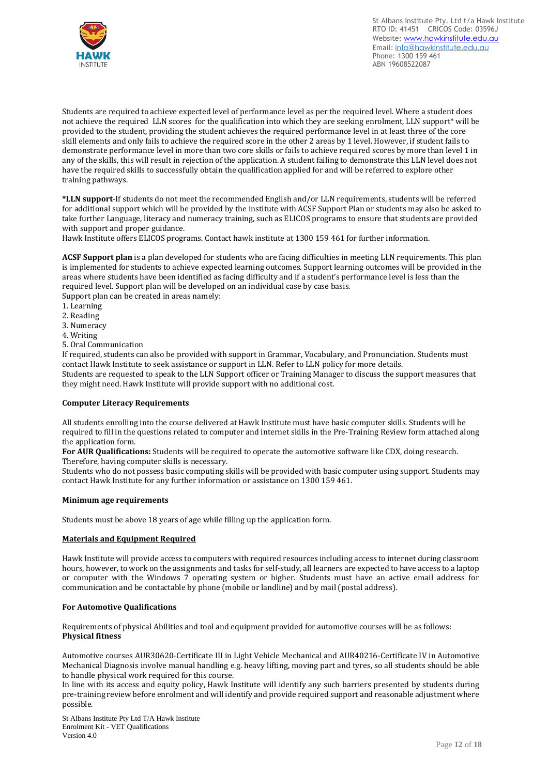

Students are required to achieve expected level of performance level as per the required level. Where a student does not achieve the required LLN scores for the qualification into which they are seeking enrolment, LLN support\* will be provided to the student, providing the student achieves the required performance level in at least three of the core skill elements and only fails to achieve the required score in the other 2 areas by 1 level. However, if student fails to demonstrate performance level in more than two core skills or fails to achieve required scores by more than level 1 in any of the skills, this will result in rejection of the application. A student failing to demonstrate this LLN level does not have the required skills to successfully obtain the qualification applied for and will be referred to explore other training pathways.

**\*LLN support**-If students do not meet the recommended English and/or LLN requirements, students will be referred for additional support which will be provided by the institute with ACSF Support Plan or students may also be asked to take further Language, literacy and numeracy training, such as ELICOS programs to ensure that students are provided with support and proper guidance.

Hawk Institute offers ELICOS programs. Contact hawk institute at 1300 159 461 for further information.

**ACSF Support plan** is a plan developed for students who are facing difficulties in meeting LLN requirements. This plan is implemented for students to achieve expected learning outcomes. Support learning outcomes will be provided in the areas where students have been identified as facing difficulty and if a student's performance level is less than the required level. Support plan will be developed on an individual case by case basis.

Support plan can be created in areas namely:

- 1. Learning
- 2. Reading
- 3. Numeracy
- 4. Writing
- 5. Oral Communication

If required, students can also be provided with support in Grammar, Vocabulary, and Pronunciation. Students must contact Hawk Institute to seek assistance or support in LLN. Refer to LLN policy for more details. Students are requested to speak to the LLN Support officer or Training Manager to discuss the support measures that they might need. Hawk Institute will provide support with no additional cost.

#### **Computer Literacy Requirements**

All students enrolling into the course delivered at Hawk Institute must have basic computer skills. Students will be required to fill in the questions related to computer and internet skills in the Pre-Training Review form attached along the application form.

**For AUR Qualifications:** Students will be required to operate the automotive software like CDX, doing research. Therefore, having computer skills is necessary.

Students who do not possess basic computing skills will be provided with basic computer using support. Students may contact Hawk Institute for any further information or assistance on 1300 159 461.

#### **Minimum age requirements**

Students must be above 18 years of age while filling up the application form.

#### **Materials and Equipment Required**

Hawk Institute will provide access to computers with required resources including access to internet during classroom hours, however, to work on the assignments and tasks for self-study, all learners are expected to have access to a laptop or computer with the Windows 7 operating system or higher. Students must have an active email address for communication and be contactable by phone (mobile or landline) and by mail (postal address).

#### **For Automotive Qualifications**

Requirements of physical Abilities and tool and equipment provided for automotive courses will be as follows: **Physical fitness**

Automotive courses AUR30620-Certificate III in Light Vehicle Mechanical and AUR40216-Certificate IV in Automotive Mechanical Diagnosis involve manual handling e.g. heavy lifting, moving part and tyres, so all students should be able to handle physical work required for this course.

In line with its access and equity policy, Hawk Institute will identify any such barriers presented by students during pre-training review before enrolment and will identify and provide required support and reasonable adjustment where possible.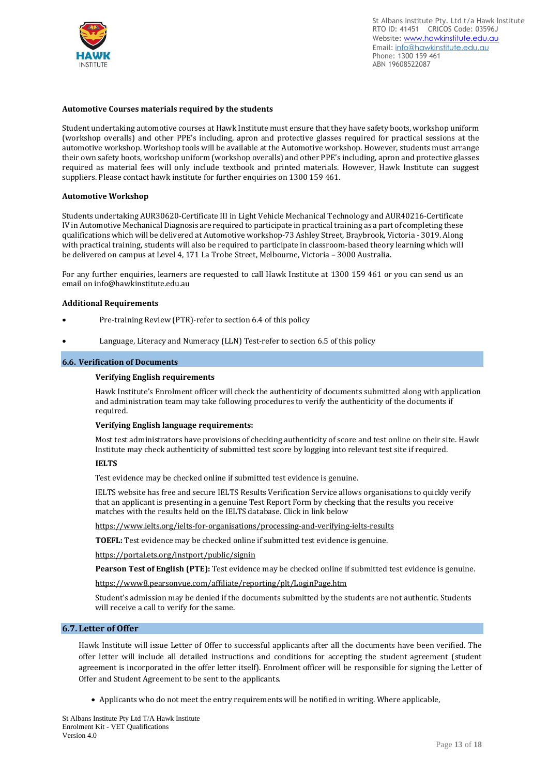

#### **Automotive Courses materials required by the students**

Student undertaking automotive courses at Hawk Institute must ensure that they have safety boots, workshop uniform (workshop overalls) and other PPE's including, apron and protective glasses required for practical sessions at the automotive workshop. Workshop tools will be available at the Automotive workshop. However, students must arrange their own safety boots, workshop uniform (workshop overalls) and other PPE's including, apron and protective glasses required as material fees will only include textbook and printed materials. However, Hawk Institute can suggest suppliers. Please contact hawk institute for further enquiries on 1300 159 461.

#### **Automotive Workshop**

Students undertaking AUR30620-Certificate III in Light Vehicle Mechanical Technology and AUR40216-Certificate IV in Automotive Mechanical Diagnosis are required to participate in practical training as a part of completing these qualifications which will be delivered at Automotive workshop-73 Ashley Street, Braybrook, Victoria - 3019. Along with practical training, students will also be required to participate in classroom-based theory learning which will be delivered on campus at Level 4, 171 La Trobe Street, Melbourne, Victoria – 3000 Australia.

For any further enquiries, learners are requested to call Hawk Institute at 1300 159 461 or you can send us an email on info@hawkinstitute.edu.au

#### **Additional Requirements**

- Pre-training Review (PTR)-refer to section 6.4 of this policy
- Language, Literacy and Numeracy (LLN) Test-refer to section 6.5 of this policy

#### **6.6. Verification of Documents**

#### **Verifying English requirements**

Hawk Institute's Enrolment officer will check the authenticity of documents submitted along with application and administration team may take following procedures to verify the authenticity of the documents if required.

#### **Verifying English language requirements:**

Most test administrators have provisions of checking authenticity of score and test online on their site. Hawk Institute may check authenticity of submitted test score by logging into relevant test site if required.

#### **IELTS**

Test evidence may be checked online if submitted test evidence is genuine.

IELTS website has free and secure IELTS Results Verification Service allows organisations to quickly verify that an applicant is presenting in a genuine Test Report Form by checking that the results you receive matches with the results held on the IELTS database. Click in link below

<https://www.ielts.org/ielts-for-organisations/processing-and-verifying-ielts-results>

**TOEFL:** Test evidence may be checked online if submitted test evidence is genuine.

<https://portal.ets.org/instport/public/signin>

**Pearson Test of English (PTE):** Test evidence may be checked online if submitted test evidence is genuine.

<https://www8.pearsonvue.com/affiliate/reporting/plt/LoginPage.htm>

Student's admission may be denied if the documents submitted by the students are not authentic. Students will receive a call to verify for the same.

#### **6.7. Letter of Offer**

Hawk Institute will issue Letter of Offer to successful applicants after all the documents have been verified. The offer letter will include all detailed instructions and conditions for accepting the student agreement (student agreement is incorporated in the offer letter itself). Enrolment officer will be responsible for signing the Letter of Offer and Student Agreement to be sent to the applicants.

• Applicants who do not meet the entry requirements will be notified in writing. Where applicable,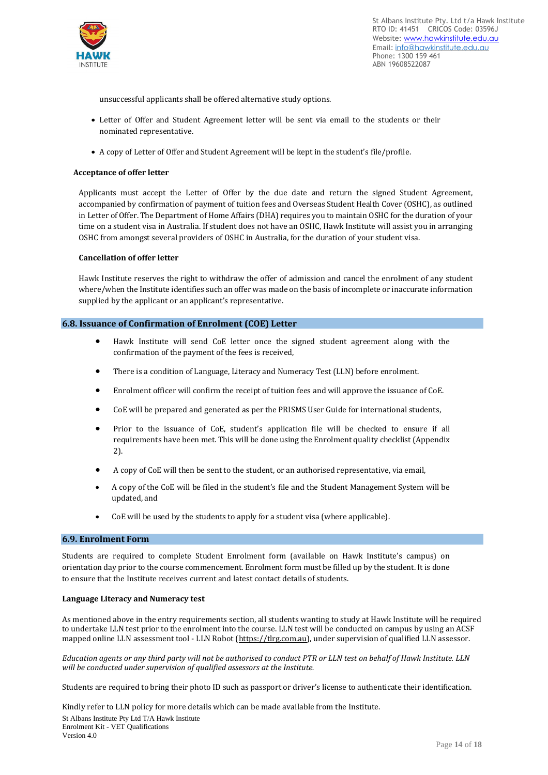

unsuccessful applicants shall be offered alternative study options.

- Letter of Offer and Student Agreement letter will be sent via email to the students or their nominated representative.
- A copy of Letter of Offer and Student Agreement will be kept in the student's file/profile.

#### **Acceptance of offer letter**

Applicants must accept the Letter of Offer by the due date and return the signed Student Agreement, accompanied by confirmation of payment of tuition fees and Overseas Student Health Cover (OSHC), as outlined in Letter of Offer. The Department of Home Affairs (DHA) requires you to maintain OSHC for the duration of your time on a student visa in Australia. If student does not have an OSHC, Hawk Institute will assist you in arranging OSHC from amongst several providers of OSHC in Australia, for the duration of your student visa.

#### **Cancellation of offer letter**

Hawk Institute reserves the right to withdraw the offer of admission and cancel the enrolment of any student where/when the Institute identifies such an offer was made on the basis of incomplete or inaccurate information supplied by the applicant or an applicant's representative.

#### **6.8. Issuance of Confirmation of Enrolment (COE) Letter**

- Hawk Institute will send CoE letter once the signed student agreement along with the confirmation of the payment of the fees is received,
- There is a condition of Language, Literacy and Numeracy Test (LLN) before enrolment.
- Enrolment officer will confirm the receipt of tuition fees and will approve the issuance of CoE.
- CoE will be prepared and generated as per the PRISMS User Guide for international students,
- Prior to the issuance of CoE, student's application file will be checked to ensure if all requirements have been met. This will be done using the Enrolment quality checklist (Appendix 2).
- A copy of CoE will then be sent to the student, or an authorised representative, via email,
- A copy of the CoE will be filed in the student's file and the Student Management System will be updated, and
- CoE will be used by the students to apply for a student visa (where applicable)..

#### **6.9. Enrolment Form**

Students are required to complete Student Enrolment form (available on Hawk Institute's campus) on orientation day prior to the course commencement. Enrolment form must be filled up by the student. It is done to ensure that the Institute receives current and latest contact details of students.

#### **Language Literacy and Numeracy test**

As mentioned above in the entry requirements section, all students wanting to study at Hawk Institute will be required to undertake LLN test prior to the enrolment into the course. LLN test will be conducted on campus by using an ACSF mapped online LLN assessment tool - LLN Robot [\(https://tlrg.com.au\)](https://tlrg.com.au/), under supervision of qualified LLN assessor.

Education agents or any third party will not be authorised to conduct PTR or LLN test on behalf of Hawk Institute. LLN *will be conducted under supervision of qualified assessors at the Institute.*

Students are required to bring their photo ID such as passport or driver's license to authenticate their identification.

St Albans Institute Pty Ltd T/A Hawk Institute Enrolment Kit - VET Qualifications Version 4.0 Kindly refer to LLN policy for more details which can be made available from the Institute.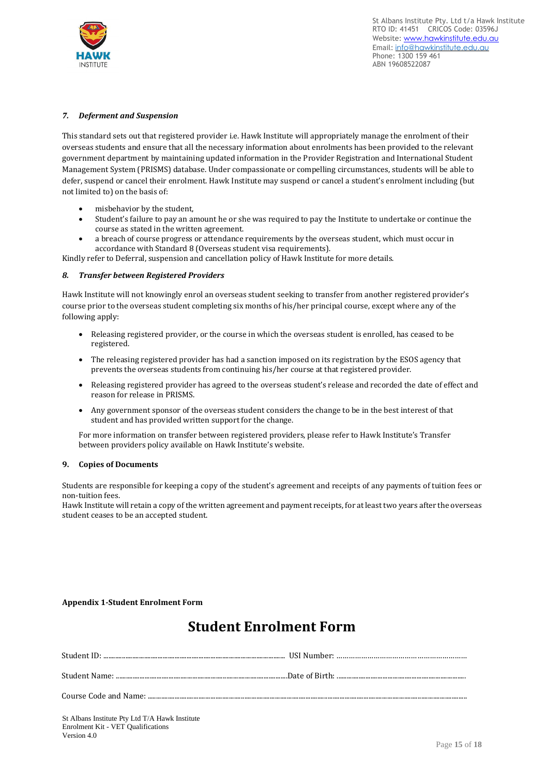

#### *7. Deferment and Suspension*

This standard sets out that registered provider i.e. Hawk Institute will appropriately manage the enrolment of their overseas students and ensure that all the necessary information about enrolments has been provided to the relevant government department by maintaining updated information in the Provider Registration and International Student Management System (PRISMS) database. Under compassionate or compelling circumstances, students will be able to defer, suspend or cancel their enrolment. Hawk Institute may suspend or cancel a student's enrolment including (but not limited to) on the basis of:

- misbehavior by the student,
- Student's failure to pay an amount he or she was required to pay the Institute to undertake or continue the course as stated in the written agreement.
- a breach of course progress or attendance requirements by the overseas student, which must occur in accordance with Standard 8 (Overseas student visa requirements).

Kindly refer to Deferral, suspension and cancellation policy of Hawk Institute for more details.

#### *8. Transfer between Registered Providers*

Hawk Institute will not knowingly enrol an overseas student seeking to transfer from another registered provider's course prior to the overseas student completing six months of his/her principal course, except where any of the following apply:

- Releasing registered provider, or the course in which the overseas student is enrolled, has ceased to be registered.
- The releasing registered provider has had a sanction imposed on its registration by the ESOS agency that prevents the overseas students from continuing his/her course at that registered provider.
- Releasing registered provider has agreed to the overseas student's release and recorded the date of effect and reason for release in PRISMS.
- Any government sponsor of the overseas student considers the change to be in the best interest of that student and has provided written support for the change.

For more information on transfer between registered providers, please refer to Hawk Institute's Transfer between providers policy available on Hawk Institute's website.

#### **9. Copies of Documents**

Students are responsible for keeping a copy of the student's agreement and receipts of any payments of tuition fees or non-tuition fees.

Hawk Institute will retain a copy of the written agreement and payment receipts, for at least two years after the overseas student ceases to be an accepted student.

#### **Appendix 1-Student Enrolment Form**

# **Student Enrolment Form**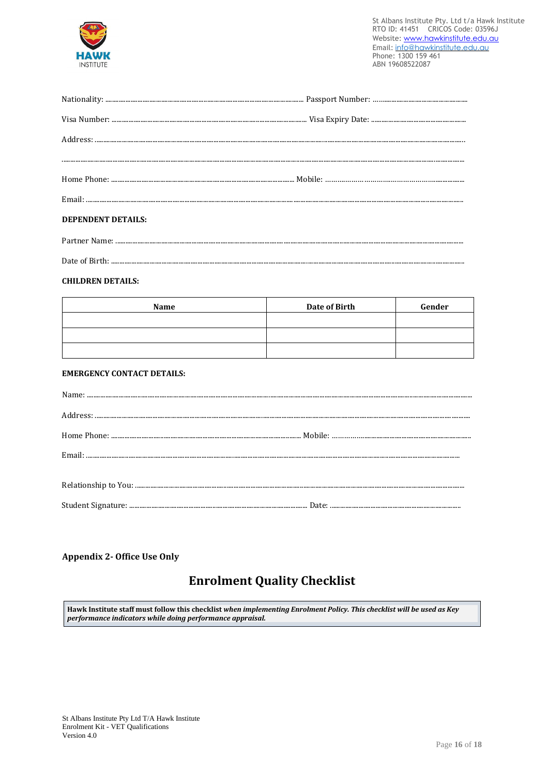

| <b>DEPENDENT DETAILS:</b> |  |
|---------------------------|--|
|                           |  |

### 

#### **CHILDREN DETAILS:**

| Name | Date of Birth | Gender |
|------|---------------|--------|
|      |               |        |
|      |               |        |
|      |               |        |

#### **EMERGENCY CONTACT DETAILS:**

#### **Appendix 2- Office Use Only**

## **Enrolment Quality Checklist**

Hawk Institute staff must follow this checklist when implementing Enrolment Policy. This checklist will be used as Key performance indicators while doing performance appraisal.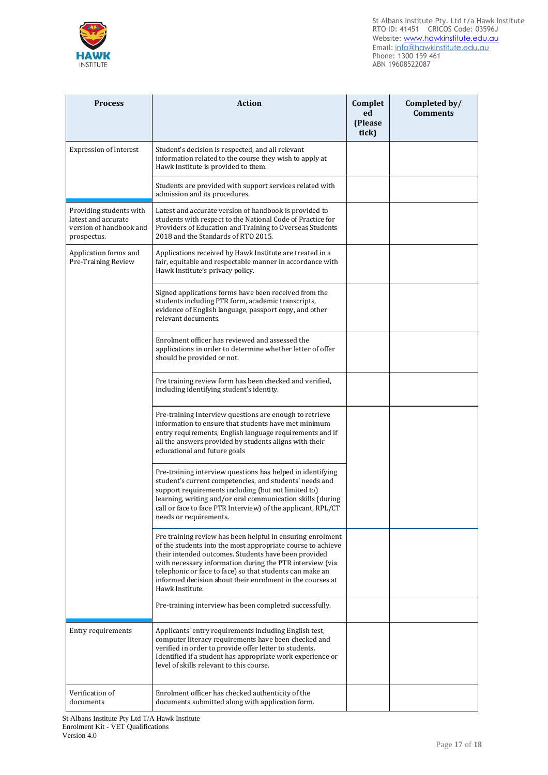



| <b>Process</b>                                                                           | <b>Action</b>                                                                                                                                                                                                                                                                                                                                                                             | Complet<br>ed<br>(Please<br>tick) | Completed by/<br><b>Comments</b> |
|------------------------------------------------------------------------------------------|-------------------------------------------------------------------------------------------------------------------------------------------------------------------------------------------------------------------------------------------------------------------------------------------------------------------------------------------------------------------------------------------|-----------------------------------|----------------------------------|
| <b>Expression of Interest</b>                                                            | Student's decision is respected, and all relevant<br>information related to the course they wish to apply at<br>Hawk Institute is provided to them.                                                                                                                                                                                                                                       |                                   |                                  |
|                                                                                          | Students are provided with support services related with<br>admission and its procedures.                                                                                                                                                                                                                                                                                                 |                                   |                                  |
| Providing students with<br>latest and accurate<br>version of handbook and<br>prospectus. | Latest and accurate version of handbook is provided to<br>students with respect to the National Code of Practice for<br>Providers of Education and Training to Overseas Students<br>2018 and the Standards of RTO 2015.                                                                                                                                                                   |                                   |                                  |
| Application forms and<br>Pre-Training Review                                             | Applications received by Hawk Institute are treated in a<br>fair, equitable and respectable manner in accordance with<br>Hawk Institute's privacy policy.                                                                                                                                                                                                                                 |                                   |                                  |
|                                                                                          | Signed applications forms have been received from the<br>students including PTR form, academic transcripts,<br>evidence of English language, passport copy, and other<br>relevant documents.                                                                                                                                                                                              |                                   |                                  |
|                                                                                          | Enrolment officer has reviewed and assessed the<br>applications in order to determine whether letter of offer<br>should be provided or not.                                                                                                                                                                                                                                               |                                   |                                  |
|                                                                                          | Pre training review form has been checked and verified,<br>including identifying student's identity.                                                                                                                                                                                                                                                                                      |                                   |                                  |
|                                                                                          | Pre-training Interview questions are enough to retrieve<br>information to ensure that students have met minimum<br>entry requirements, English language requirements and if<br>all the answers provided by students aligns with their<br>educational and future goals                                                                                                                     |                                   |                                  |
|                                                                                          | Pre-training interview questions has helped in identifying<br>student's current competencies, and students' needs and<br>support requirements including (but not limited to)<br>learning, writing and/or oral communication skills (during<br>call or face to face PTR Interview) of the applicant, RPL/CT<br>needs or requirements.                                                      |                                   |                                  |
|                                                                                          | Pre training review has been helpful in ensuring enrolment<br>of the students into the most appropriate course to achieve<br>their intended outcomes. Students have been provided<br>with necessary information during the PTR interview (via<br>telephonic or face to face) so that students can make an<br>informed decision about their enrolment in the courses at<br>Hawk Institute. |                                   |                                  |
|                                                                                          | Pre-training interview has been completed successfully.                                                                                                                                                                                                                                                                                                                                   |                                   |                                  |
| Entry requirements                                                                       | Applicants' entry requirements including English test,<br>computer literacy requirements have been checked and<br>verified in order to provide offer letter to students.<br>Identified if a student has appropriate work experience or<br>level of skills relevant to this course.                                                                                                        |                                   |                                  |
| Verification of<br>documents                                                             | Enrolment officer has checked authenticity of the<br>documents submitted along with application form.                                                                                                                                                                                                                                                                                     |                                   |                                  |